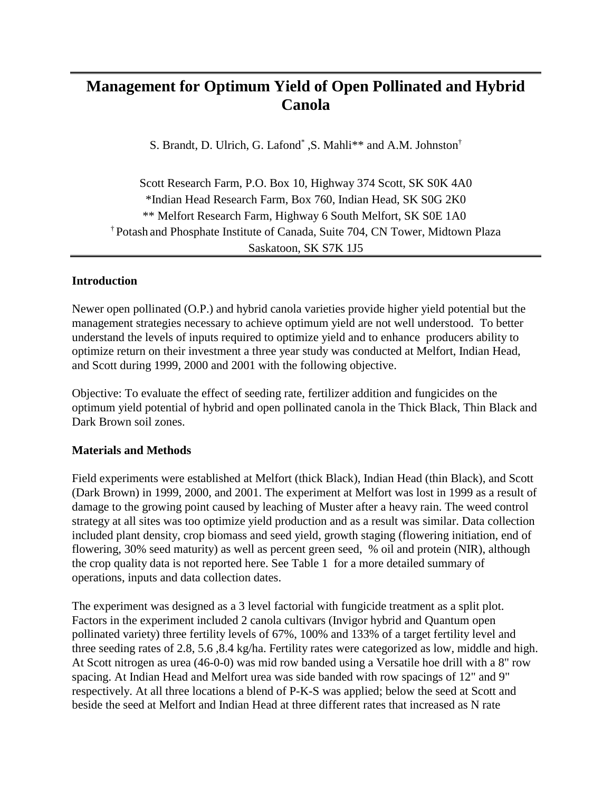# **Management for Optimum Yield of Open Pollinated and Hybrid Canola**

S. Brandt, D. Ulrich, G. Lafond<sup>\*</sup>, S. Mahli<sup>\*\*</sup> and A.M. Johnston<sup>†</sup>

Scott Research Farm, P.O. Box 10, Highway 374 Scott, SK S0K 4A0 \*Indian Head Research Farm, Box 760, Indian Head, SK S0G 2K0 \*\* Melfort Research Farm, Highway 6 South Melfort, SK S0E 1A0 † Potash and Phosphate Institute of Canada, Suite 704, CN Tower, Midtown Plaza Saskatoon, SK S7K 1J5

## **Introduction**

Newer open pollinated (O.P.) and hybrid canola varieties provide higher yield potential but the management strategies necessary to achieve optimum yield are not well understood. To better understand the levels of inputs required to optimize yield and to enhance producers ability to optimize return on their investment a three year study was conducted at Melfort, Indian Head, and Scott during 1999, 2000 and 2001 with the following objective.

Objective: To evaluate the effect of seeding rate, fertilizer addition and fungicides on the optimum yield potential of hybrid and open pollinated canola in the Thick Black, Thin Black and Dark Brown soil zones.

## **Materials and Methods**

Field experiments were established at Melfort (thick Black), Indian Head (thin Black), and Scott (Dark Brown) in 1999, 2000, and 2001. The experiment at Melfort was lost in 1999 as a result of damage to the growing point caused by leaching of Muster after a heavy rain. The weed control strategy at all sites was too optimize yield production and as a result was similar. Data collection included plant density, crop biomass and seed yield, growth staging (flowering initiation, end of flowering, 30% seed maturity) as well as percent green seed, % oil and protein (NIR), although the crop quality data is not reported here. See Table 1 for a more detailed summary of operations, inputs and data collection dates.

The experiment was designed as a 3 level factorial with fungicide treatment as a split plot. Factors in the experiment included 2 canola cultivars (Invigor hybrid and Quantum open pollinated variety) three fertility levels of 67%, 100% and 133% of a target fertility level and three seeding rates of 2.8, 5.6 ,8.4 kg/ha. Fertility rates were categorized as low, middle and high. At Scott nitrogen as urea (46-0-0) was mid row banded using a Versatile hoe drill with a 8" row spacing. At Indian Head and Melfort urea was side banded with row spacings of 12" and 9" respectively. At all three locations a blend of P-K-S was applied; below the seed at Scott and beside the seed at Melfort and Indian Head at three different rates that increased as N rate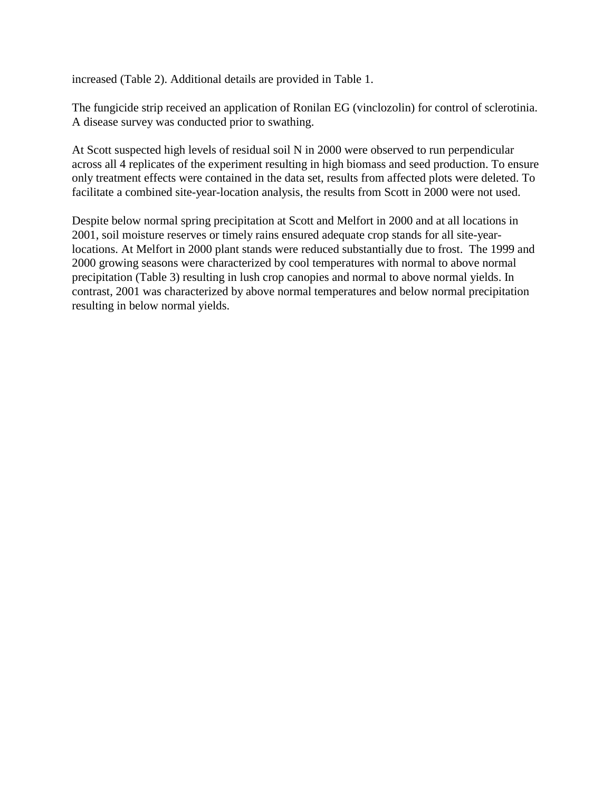increased (Table 2). Additional details are provided in Table 1.

The fungicide strip received an application of Ronilan EG (vinclozolin) for control of sclerotinia. A disease survey was conducted prior to swathing.

At Scott suspected high levels of residual soil N in 2000 were observed to run perpendicular across all 4 replicates of the experiment resulting in high biomass and seed production. To ensure only treatment effects were contained in the data set, results from affected plots were deleted. To facilitate a combined site-year-location analysis, the results from Scott in 2000 were not used.

Despite below normal spring precipitation at Scott and Melfort in 2000 and at all locations in 2001, soil moisture reserves or timely rains ensured adequate crop stands for all site-yearlocations. At Melfort in 2000 plant stands were reduced substantially due to frost. The 1999 and 2000 growing seasons were characterized by cool temperatures with normal to above normal precipitation (Table 3) resulting in lush crop canopies and normal to above normal yields. In contrast, 2001 was characterized by above normal temperatures and below normal precipitation resulting in below normal yields.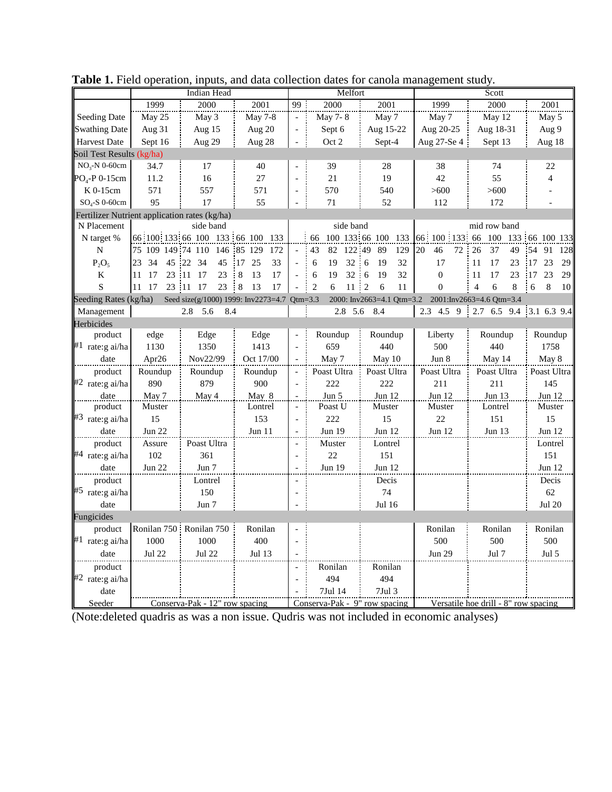|                                               | Indian Head                    |                                  |                                             |                          | Melfort                                      |                    | Scott                                              |                                   |                         |  |
|-----------------------------------------------|--------------------------------|----------------------------------|---------------------------------------------|--------------------------|----------------------------------------------|--------------------|----------------------------------------------------|-----------------------------------|-------------------------|--|
|                                               | 1999                           | 2000                             | 2001                                        | 99                       | 2000                                         | 2001               | 1999                                               | 2000                              | 2001                    |  |
| Seeding Date                                  | May 25                         | May 3                            | <b>May 7-8</b>                              | $\overline{\phantom{a}}$ | May 7-8                                      | May 7              | May 7                                              | May 12                            | May 5                   |  |
| <b>Swathing Date</b>                          | Aug $31$                       | Aug 15                           | Aug 20                                      | $\overline{\phantom{a}}$ | Sept 6                                       | Aug 15-22          | Aug 20-25                                          | Aug 18-31                         | Aug 9                   |  |
| <b>Harvest Date</b>                           | Sept 16                        | Aug 29                           | Aug 28                                      |                          | Oct 2                                        | Sept-4             | Aug 27-Se 4                                        | Sept 13                           | Aug 18                  |  |
| Soil Test Results (kg/ha)                     |                                |                                  |                                             |                          |                                              |                    |                                                    |                                   |                         |  |
| $NO3-N$ 0-60cm                                | 34.7                           | 17                               | 40                                          |                          | 39                                           | 28                 | 38                                                 | 74                                | 22                      |  |
| $PO4-P 0-15cm$                                | 11.2                           | 16                               | 27                                          |                          | 21                                           | 19                 | 42                                                 | 55                                | $\overline{4}$          |  |
| K 0-15cm                                      | 571                            | 557                              | 571                                         | $\overline{a}$           | 570                                          | 540                | >600                                               | >600                              |                         |  |
| $SO_4$ -S 0-60cm                              | 95                             | 17                               | 55                                          |                          | 71                                           | 52                 | 112                                                | 172                               |                         |  |
| Fertilizer Nutrient application rates (kg/ha) |                                |                                  |                                             |                          |                                              |                    |                                                    |                                   |                         |  |
| N Placement                                   |                                | side band                        |                                             |                          | side band                                    |                    |                                                    | mid row band                      |                         |  |
| N target %                                    |                                | 66 100 133 66 100 133 66 100 133 |                                             |                          | 66                                           | 100 133 66 100 133 |                                                    | 66 100 133 66 100 133 66 100 133  |                         |  |
| N                                             | 75 109 149 74 110              | 146                              | 85 129<br>172                               | $\overline{\phantom{a}}$ | 43<br>82<br>122 49                           | 89<br>129          | 20<br>46<br>72                                     | 26<br>37<br>49                    | 54 91<br>128            |  |
| $P_2O_5$                                      | 23<br>34<br>45 22              | - 34<br>45                       | 25<br>33<br>$\cdot$ 17                      | $\overline{a}$           | 6<br>19<br>32                                | 19<br>32<br>6<br>÷ | 17                                                 | 11<br>17<br>23                    | 17 23<br>29             |  |
| K                                             | 23 11<br>11<br>17              | 17<br>23                         | $-8$<br>17<br>13                            | $\overline{a}$           | $32 \t6$<br>6<br>19                          | 19<br>32           | $\theta$                                           | 17<br>23<br>11                    | 17 23<br>29             |  |
| S                                             | 11<br>17<br>23 11              | $23 - 8$<br>17                   | 13<br>17                                    |                          | $\overline{2}$<br>$\sqrt{6}$<br>$11 \quad 2$ | 6<br>11            | $\mathbf{0}$                                       | $\overline{4}$<br>6<br>8          | 6<br>$\,8\,$<br>10<br>÷ |  |
| Seeding Rates (kg/ha)                         |                                |                                  | Seed size(g/1000) 1999: Inv2273=4.7 Qtm=3.3 |                          |                                              |                    | 2000: Inv2663=4.1 Qtm=3.2 2001:Inv2663=4.6 Qtm=3.4 |                                   |                         |  |
| Management                                    |                                | 5.6<br>8.4<br>2.8                |                                             |                          | 2.8 5.6                                      | 8.4                |                                                    | 2.3 4.5 9 2.7 6.5 9.4 3.1 6.3 9.4 |                         |  |
| Herbicides                                    |                                |                                  |                                             |                          |                                              |                    |                                                    |                                   |                         |  |
| product                                       | edge                           | Edge                             | Edge                                        |                          | Roundup                                      | Roundup            | Liberty                                            | Roundup                           | Roundup                 |  |
| #1 rate:g ai/ha                               | 1130                           | 1350                             | 1413                                        |                          | 659                                          | 440                | 500                                                | 440                               | 1758                    |  |
| date                                          | Apr26                          | Nov22/99                         | Oct 17/00                                   |                          | May 7                                        | May 10             | Jun 8                                              | May 14                            | May 8                   |  |
| product                                       | Roundup                        | Roundup                          | Roundup                                     |                          | Poast Ultra                                  | Poast Ultra        | Poast Ultra                                        | Poast Ultra                       | Poast Ultra             |  |
| #2 rate:g ai/ha                               | 890                            | 879                              | 900                                         |                          | 222                                          | 222                | 211                                                | 211                               | 145                     |  |
| date                                          | May 7                          | May 4                            | May 8                                       |                          | Jun 5                                        | Jun 12             | Jun 12                                             | Jun 13                            | Jun 12                  |  |
| product                                       | Muster                         |                                  | Lontrel                                     |                          | Poast U                                      | Muster             | Muster                                             | Lontrel                           | Muster                  |  |
| #3 rate:g ai/ha                               | 15                             |                                  | 153                                         | $\overline{a}$           | 222                                          | 15                 | 22                                                 | 151                               | 15                      |  |
| date                                          | <b>Jun 22</b>                  |                                  | Jun 11                                      | $\sim$                   | Jun 19                                       | Jun 12             | Jun 12                                             | Jun 13                            | Jun 12                  |  |
| product                                       | Assure                         | Poast Ultra                      |                                             |                          | Muster                                       | Lontrel            |                                                    |                                   | Lontrel                 |  |
| #4 rate:g ai/ha                               | 102                            | 361                              |                                             |                          | 22                                           | 151                |                                                    |                                   | 151                     |  |
| date                                          | <b>Jun 22</b>                  | Jun 7                            |                                             |                          | Jun 19                                       | Jun $12$           |                                                    |                                   | Jun 12                  |  |
| product                                       |                                | Lontrel                          |                                             |                          |                                              | Decis              |                                                    |                                   | Decis                   |  |
| #5 rate:g ai/ha                               |                                | 150                              |                                             |                          |                                              | 74                 |                                                    |                                   | 62                      |  |
| date                                          |                                | Jun 7                            |                                             |                          |                                              | Jul 16             |                                                    |                                   | <b>Jul 20</b>           |  |
| Fungicides                                    |                                |                                  |                                             |                          |                                              |                    |                                                    |                                   |                         |  |
| product                                       |                                | Ronilan 750 : Ronilan 750        | Ronilan                                     |                          |                                              |                    | Ronilan                                            | Ronilan                           | Ronilan                 |  |
| #1 rate:g ai/ha                               | 1000                           | 1000                             | 400                                         |                          |                                              |                    | 500                                                | 500                               | 500                     |  |
| date                                          | <b>Jul 22</b>                  | <b>Jul 22</b>                    | Jul 13                                      |                          |                                              |                    | <b>Jun 29</b>                                      | Jul 7                             | Jul <sub>5</sub>        |  |
| product                                       |                                |                                  |                                             |                          | Ronilan                                      | Ronilan            |                                                    |                                   |                         |  |
| #2 rate:g ai/ha                               |                                |                                  |                                             |                          | 494                                          | 494                |                                                    |                                   |                         |  |
| date                                          |                                |                                  |                                             |                          | 7Jul 14                                      | $7$ Jul $3$        |                                                    |                                   |                         |  |
| Seeder                                        | Conserva-Pak - 12" row spacing |                                  |                                             |                          | Conserva-Pak - 9" row spacing                |                    | Versatile hoe drill - 8" row spacing               |                                   |                         |  |

Table 1. Field operation, inputs, and data collection dates for canola management study.

(Note:deleted quadris as was a non issue. Qudris was not included in economic analyses)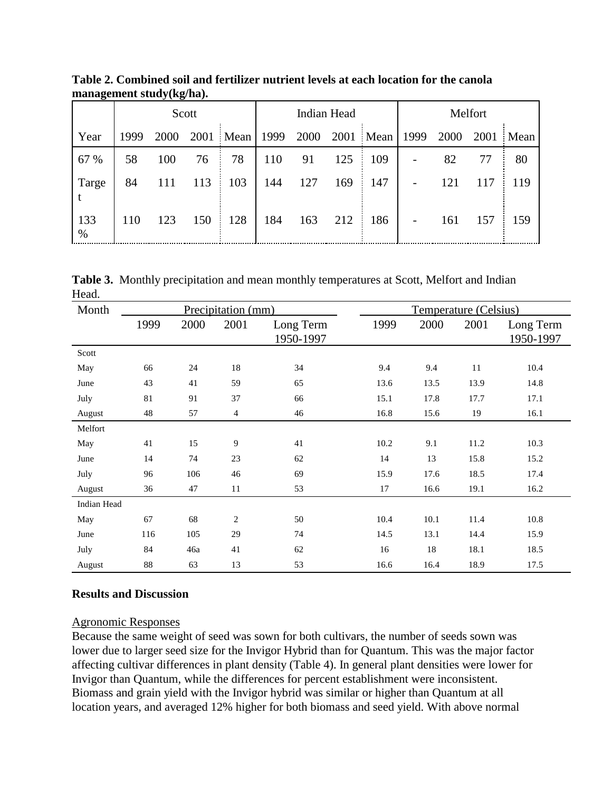|             | Scott |      |     |                | Indian Head |      |      |      | Melfort |      |      |      |
|-------------|-------|------|-----|----------------|-------------|------|------|------|---------|------|------|------|
| Year        | 1999  | 2000 |     | 2001 Mean 1999 |             | 2000 | 2001 | Mean | 1999    | 2000 | 2001 | Mean |
| 67 %        | 58    | 100  | 76  | 78             | 110         | 91   | 125  | 109  |         | 82   | 77   | 80   |
| Targe       | 84    |      | 113 | 103            | 144         | 127  | 169  | 147  |         | 121  | 117  | 119  |
| 133<br>$\%$ | 110   | 123  | 150 | 128            | 184         | 163  | 212  | 186  |         | 161  | 157  | 159  |

**Table 2. Combined soil and fertilizer nutrient levels at each location for the canola management study(kg/ha).**

**Table 3.** Monthly precipitation and mean monthly temperatures at Scott, Melfort and Indian Head.

| Month       | Precipitation (mm) |      |                |                        | Temperature (Celsius) |      |      |                        |  |
|-------------|--------------------|------|----------------|------------------------|-----------------------|------|------|------------------------|--|
|             | 1999               | 2000 | 2001           | Long Term<br>1950-1997 | 1999                  | 2000 | 2001 | Long Term<br>1950-1997 |  |
| Scott       |                    |      |                |                        |                       |      |      |                        |  |
| May         | 66                 | 24   | 18             | 34                     | 9.4                   | 9.4  | 11   | 10.4                   |  |
| June        | 43                 | 41   | 59             | 65                     | 13.6                  | 13.5 | 13.9 | 14.8                   |  |
| July        | 81                 | 91   | 37             | 66                     | 15.1                  | 17.8 | 17.7 | 17.1                   |  |
| August      | 48                 | 57   | $\overline{4}$ | 46                     | 16.8                  | 15.6 | 19   | 16.1                   |  |
| Melfort     |                    |      |                |                        |                       |      |      |                        |  |
| May         | 41                 | 15   | 9              | 41                     | 10.2                  | 9.1  | 11.2 | 10.3                   |  |
| June        | 14                 | 74   | 23             | 62                     | 14                    | 13   | 15.8 | 15.2                   |  |
| July        | 96                 | 106  | 46             | 69                     | 15.9                  | 17.6 | 18.5 | 17.4                   |  |
| August      | 36                 | 47   | 11             | 53                     | 17                    | 16.6 | 19.1 | 16.2                   |  |
| Indian Head |                    |      |                |                        |                       |      |      |                        |  |
| May         | 67                 | 68   | $\overline{c}$ | 50                     | 10.4                  | 10.1 | 11.4 | 10.8                   |  |
| June        | 116                | 105  | 29             | 74                     | 14.5                  | 13.1 | 14.4 | 15.9                   |  |
| July        | 84                 | 46a  | 41             | 62                     | 16                    | 18   | 18.1 | 18.5                   |  |
| August      | 88                 | 63   | 13             | 53                     | 16.6                  | 16.4 | 18.9 | 17.5                   |  |

## **Results and Discussion**

#### Agronomic Responses

Because the same weight of seed was sown for both cultivars, the number of seeds sown was lower due to larger seed size for the Invigor Hybrid than for Quantum. This was the major factor affecting cultivar differences in plant density (Table 4). In general plant densities were lower for Invigor than Quantum, while the differences for percent establishment were inconsistent. Biomass and grain yield with the Invigor hybrid was similar or higher than Quantum at all location years, and averaged 12% higher for both biomass and seed yield. With above normal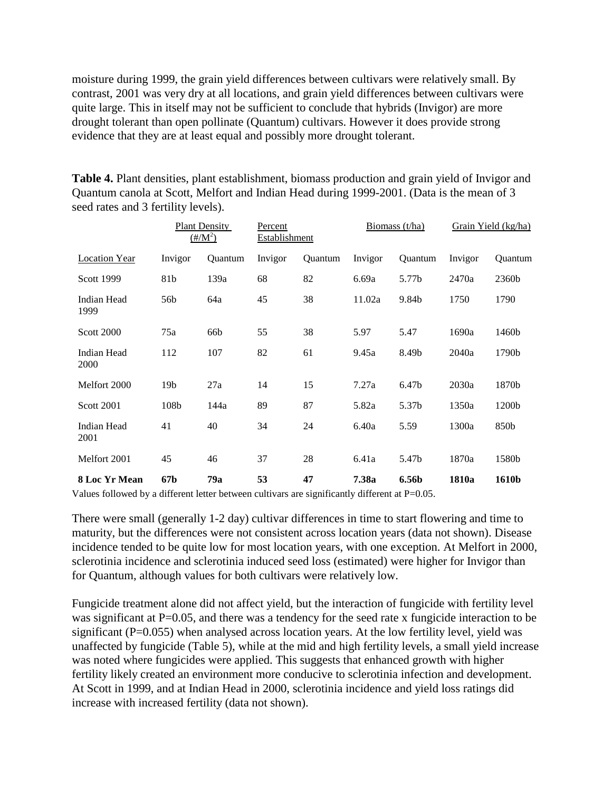moisture during 1999, the grain yield differences between cultivars were relatively small. By contrast, 2001 was very dry at all locations, and grain yield differences between cultivars were quite large. This in itself may not be sufficient to conclude that hybrids (Invigor) are more drought tolerant than open pollinate (Quantum) cultivars. However it does provide strong evidence that they are at least equal and possibly more drought tolerant.

**Table 4.** Plant densities, plant establishment, biomass production and grain yield of Invigor and Quantum canola at Scott, Melfort and Indian Head during 1999-2001. (Data is the mean of 3 seed rates and 3 fertility levels).

|                      | <b>Plant Density</b><br>$(\frac{\text{H}}{M^2})$ |                | Percent<br><b>Establishment</b> |         | Biomass $(t/ha)$ |                   | Grain Yield (kg/ha) |         |
|----------------------|--------------------------------------------------|----------------|---------------------------------|---------|------------------|-------------------|---------------------|---------|
| <b>Location Year</b> | Invigor                                          | <b>Ouantum</b> | Invigor                         | Quantum | Invigor          | Quantum           | Invigor             | Quantum |
| Scott 1999           | 81b                                              | 139a           | 68                              | 82      | 6.69a            | 5.77b             | 2470a               | 2360b   |
| Indian Head<br>1999  | 56b                                              | 64a            | 45                              | 38      | 11.02a           | 9.84b             | 1750                | 1790    |
| <b>Scott 2000</b>    | 75a                                              | 66b            | 55                              | 38      | 5.97             | 5.47              | 1690a               | 1460b   |
| Indian Head<br>2000  | 112                                              | 107            | 82                              | 61      | 9.45a            | 8.49b             | 2040a               | 1790b   |
| Melfort 2000         | 19b                                              | 27a            | 14                              | 15      | 7.27a            | 6.47 <sub>b</sub> | 2030a               | 1870b   |
| <b>Scott 2001</b>    | 108b                                             | 144a           | 89                              | 87      | 5.82a            | 5.37b             | 1350a               | 1200b   |
| Indian Head<br>2001  | 41                                               | 40             | 34                              | 24      | 6.40a            | 5.59              | 1300a               | 850b    |
| Melfort 2001         | 45                                               | 46             | 37                              | 28      | 6.41a            | 5.47b             | 1870a               | 1580b   |
| 8 Loc Yr Mean        | 67b                                              | 79a            | 53                              | 47      | 7.38a            | 6.56b             | 1810a               | 1610b   |

Values followed by a different letter between cultivars are significantly different at P=0.05.

There were small (generally 1-2 day) cultivar differences in time to start flowering and time to maturity, but the differences were not consistent across location years (data not shown). Disease incidence tended to be quite low for most location years, with one exception. At Melfort in 2000, sclerotinia incidence and sclerotinia induced seed loss (estimated) were higher for Invigor than for Quantum, although values for both cultivars were relatively low.

Fungicide treatment alone did not affect yield, but the interaction of fungicide with fertility level was significant at P=0.05, and there was a tendency for the seed rate x fungicide interaction to be significant (P=0.055) when analysed across location years. At the low fertility level, yield was unaffected by fungicide (Table 5), while at the mid and high fertility levels, a small yield increase was noted where fungicides were applied. This suggests that enhanced growth with higher fertility likely created an environment more conducive to sclerotinia infection and development. At Scott in 1999, and at Indian Head in 2000, sclerotinia incidence and yield loss ratings did increase with increased fertility (data not shown).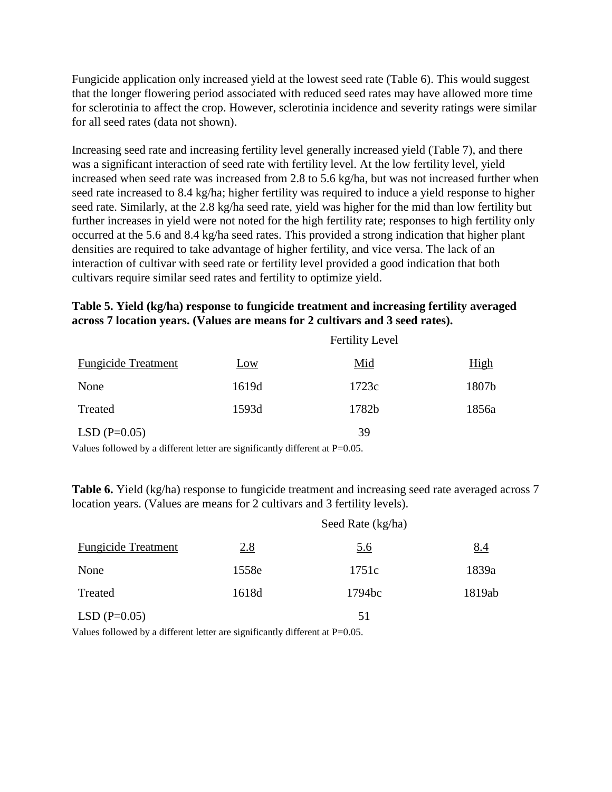Fungicide application only increased yield at the lowest seed rate (Table 6). This would suggest that the longer flowering period associated with reduced seed rates may have allowed more time for sclerotinia to affect the crop. However, sclerotinia incidence and severity ratings were similar for all seed rates (data not shown).

Increasing seed rate and increasing fertility level generally increased yield (Table 7), and there was a significant interaction of seed rate with fertility level. At the low fertility level, yield increased when seed rate was increased from 2.8 to 5.6 kg/ha, but was not increased further when seed rate increased to 8.4 kg/ha; higher fertility was required to induce a yield response to higher seed rate. Similarly, at the 2.8 kg/ha seed rate, yield was higher for the mid than low fertility but further increases in yield were not noted for the high fertility rate; responses to high fertility only occurred at the 5.6 and 8.4 kg/ha seed rates. This provided a strong indication that higher plant densities are required to take advantage of higher fertility, and vice versa. The lack of an interaction of cultivar with seed rate or fertility level provided a good indication that both cultivars require similar seed rates and fertility to optimize yield.

## **Table 5. Yield (kg/ha) response to fungicide treatment and increasing fertility averaged across 7 location years. (Values are means for 2 cultivars and 3 seed rates).**

|                                                                                                                                                                                                                                                                                                                                    |       | <b>Fertility Level</b> |             |
|------------------------------------------------------------------------------------------------------------------------------------------------------------------------------------------------------------------------------------------------------------------------------------------------------------------------------------|-------|------------------------|-------------|
| <b>Fungicide Treatment</b>                                                                                                                                                                                                                                                                                                         | Low   | Mid                    | <u>High</u> |
| None                                                                                                                                                                                                                                                                                                                               | 1619d | 1723c                  | 1807b       |
| Treated                                                                                                                                                                                                                                                                                                                            | 1593d | 1782b                  | 1856a       |
| $LSD(P=0.05)$                                                                                                                                                                                                                                                                                                                      |       | 39                     |             |
| $\mathbf{v}$ $\mathbf{v}$ $\mathbf{v}$ $\mathbf{v}$ $\mathbf{v}$ $\mathbf{v}$ $\mathbf{v}$ $\mathbf{v}$ $\mathbf{v}$ $\mathbf{v}$ $\mathbf{v}$ $\mathbf{v}$ $\mathbf{v}$ $\mathbf{v}$ $\mathbf{v}$ $\mathbf{v}$ $\mathbf{v}$ $\mathbf{v}$ $\mathbf{v}$ $\mathbf{v}$ $\mathbf{v}$ $\mathbf{v}$ $\mathbf{v}$ $\mathbf{v}$ $\mathbf{$ |       |                        |             |

Values followed by a different letter are significantly different at P=0.05.

**Table 6.** Yield (kg/ha) response to fungicide treatment and increasing seed rate averaged across 7 location years. (Values are means for 2 cultivars and 3 fertility levels).

|                            |       | Seed Rate (kg/ha) |            |
|----------------------------|-------|-------------------|------------|
| <b>Fungicide Treatment</b> | 2.8   | <u>5.6</u>        | <u>8.4</u> |
| None                       | 1558e | 1751c             | 1839a      |
| Treated                    | 1618d | 1794bc            | 1819ab     |
| $LSD(P=0.05)$              |       | 51                |            |

Values followed by a different letter are significantly different at P=0.05.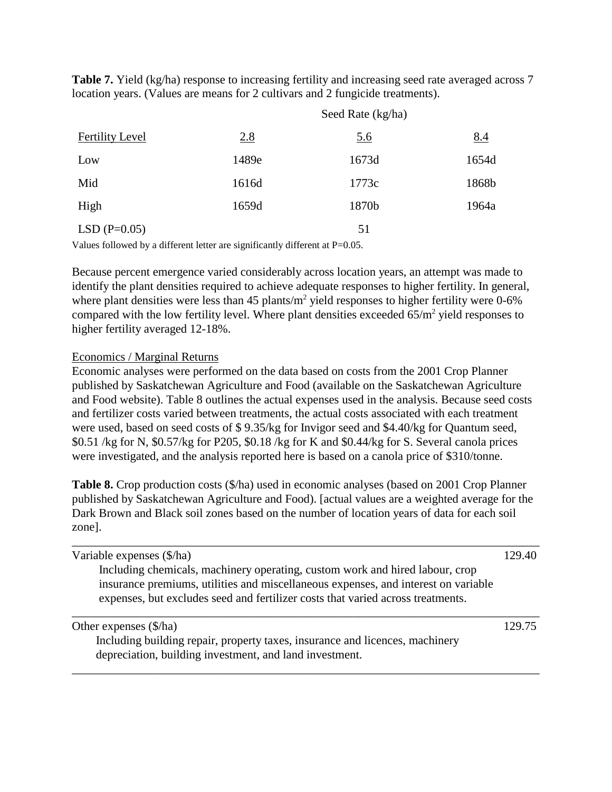**Table 7.** Yield (kg/ha) response to increasing fertility and increasing seed rate averaged across 7 location years. (Values are means for 2 cultivars and 2 fungicide treatments).

|                        |       | Seed Rate (kg/ha) |            |
|------------------------|-------|-------------------|------------|
| <b>Fertility Level</b> | 2.8   | <u>5.6</u>        | <u>8.4</u> |
| Low                    | 1489e | 1673d             | 1654d      |
| Mid                    | 1616d | 1773c             | 1868b      |
| High                   | 1659d | 1870b             | 1964a      |
| $LSD(P=0.05)$          |       | 51                |            |

Values followed by a different letter are significantly different at P=0.05.

Because percent emergence varied considerably across location years, an attempt was made to identify the plant densities required to achieve adequate responses to higher fertility. In general, where plant densities were less than  $45$  plants/m<sup>2</sup> yield responses to higher fertility were 0-6% compared with the low fertility level. Where plant densities exceeded  $65/m^2$  yield responses to higher fertility averaged 12-18%.

### Economics / Marginal Returns

Economic analyses were performed on the data based on costs from the 2001 Crop Planner published by Saskatchewan Agriculture and Food (available on the Saskatchewan Agriculture and Food website). Table 8 outlines the actual expenses used in the analysis. Because seed costs and fertilizer costs varied between treatments, the actual costs associated with each treatment were used, based on seed costs of \$ 9.35/kg for Invigor seed and \$4.40/kg for Quantum seed, \$0.51 /kg for N, \$0.57/kg for P205, \$0.18 /kg for K and \$0.44/kg for S. Several canola prices were investigated, and the analysis reported here is based on a canola price of \$310/tonne.

**Table 8.** Crop production costs (\$/ha) used in economic analyses (based on 2001 Crop Planner published by Saskatchewan Agriculture and Food). [actual values are a weighted average for the Dark Brown and Black soil zones based on the number of location years of data for each soil zone].

| Variable expenses (\$/ha)                                                                                                                                                                                                                             | 129.40 |
|-------------------------------------------------------------------------------------------------------------------------------------------------------------------------------------------------------------------------------------------------------|--------|
| Including chemicals, machinery operating, custom work and hired labour, crop<br>insurance premiums, utilities and miscellaneous expenses, and interest on variable<br>expenses, but excludes seed and fertilizer costs that varied across treatments. |        |
| Other expenses (\$/ha)<br>Including building repair, property taxes, insurance and licences, machinery                                                                                                                                                | 129.75 |
| depreciation, building investment, and land investment.                                                                                                                                                                                               |        |

\_\_\_\_\_\_\_\_\_\_\_\_\_\_\_\_\_\_\_\_\_\_\_\_\_\_\_\_\_\_\_\_\_\_\_\_\_\_\_\_\_\_\_\_\_\_\_\_\_\_\_\_\_\_\_\_\_\_\_\_\_\_\_\_\_\_\_\_\_\_\_\_\_\_\_\_\_\_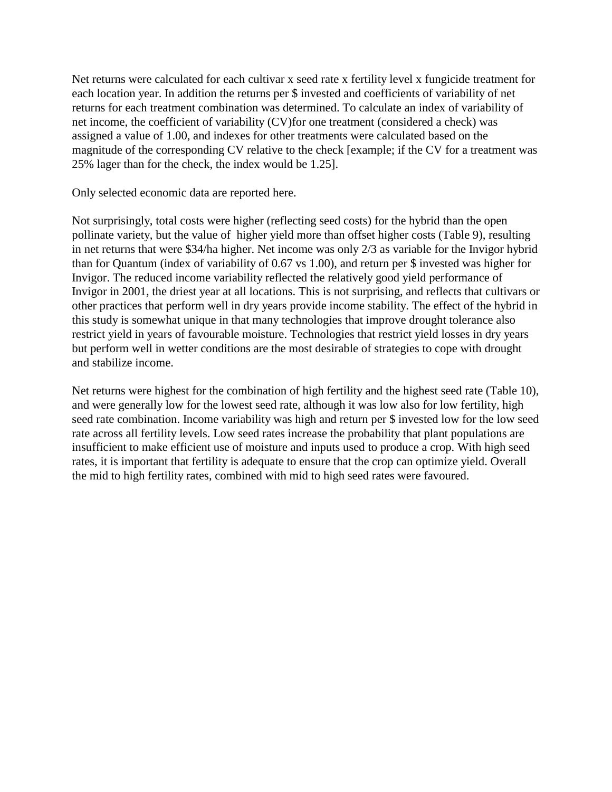Net returns were calculated for each cultivar x seed rate x fertility level x fungicide treatment for each location year. In addition the returns per \$ invested and coefficients of variability of net returns for each treatment combination was determined. To calculate an index of variability of net income, the coefficient of variability (CV)for one treatment (considered a check) was assigned a value of 1.00, and indexes for other treatments were calculated based on the magnitude of the corresponding CV relative to the check [example; if the CV for a treatment was 25% lager than for the check, the index would be 1.25].

Only selected economic data are reported here.

Not surprisingly, total costs were higher (reflecting seed costs) for the hybrid than the open pollinate variety, but the value of higher yield more than offset higher costs (Table 9), resulting in net returns that were \$34/ha higher. Net income was only 2/3 as variable for the Invigor hybrid than for Quantum (index of variability of 0.67 vs 1.00), and return per \$ invested was higher for Invigor. The reduced income variability reflected the relatively good yield performance of Invigor in 2001, the driest year at all locations. This is not surprising, and reflects that cultivars or other practices that perform well in dry years provide income stability. The effect of the hybrid in this study is somewhat unique in that many technologies that improve drought tolerance also restrict yield in years of favourable moisture. Technologies that restrict yield losses in dry years but perform well in wetter conditions are the most desirable of strategies to cope with drought and stabilize income.

Net returns were highest for the combination of high fertility and the highest seed rate (Table 10), and were generally low for the lowest seed rate, although it was low also for low fertility, high seed rate combination. Income variability was high and return per \$ invested low for the low seed rate across all fertility levels. Low seed rates increase the probability that plant populations are insufficient to make efficient use of moisture and inputs used to produce a crop. With high seed rates, it is important that fertility is adequate to ensure that the crop can optimize yield. Overall the mid to high fertility rates, combined with mid to high seed rates were favoured.